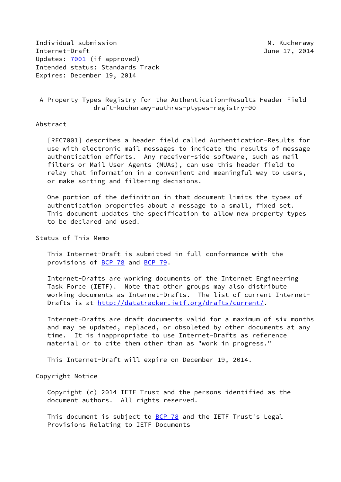Individual submission and M. Kucherawy Internet-Draft June 17, 2014 Updates: [7001](https://datatracker.ietf.org/doc/pdf/rfc7001) (if approved) Intended status: Standards Track Expires: December 19, 2014

# A Property Types Registry for the Authentication-Results Header Field draft-kucherawy-authres-ptypes-registry-00

### Abstract

 [RFC7001] describes a header field called Authentication-Results for use with electronic mail messages to indicate the results of message authentication efforts. Any receiver-side software, such as mail filters or Mail User Agents (MUAs), can use this header field to relay that information in a convenient and meaningful way to users, or make sorting and filtering decisions.

 One portion of the definition in that document limits the types of authentication properties about a message to a small, fixed set. This document updates the specification to allow new property types to be declared and used.

### Status of This Memo

 This Internet-Draft is submitted in full conformance with the provisions of [BCP 78](https://datatracker.ietf.org/doc/pdf/bcp78) and [BCP 79](https://datatracker.ietf.org/doc/pdf/bcp79).

 Internet-Drafts are working documents of the Internet Engineering Task Force (IETF). Note that other groups may also distribute working documents as Internet-Drafts. The list of current Internet Drafts is at<http://datatracker.ietf.org/drafts/current/>.

 Internet-Drafts are draft documents valid for a maximum of six months and may be updated, replaced, or obsoleted by other documents at any time. It is inappropriate to use Internet-Drafts as reference material or to cite them other than as "work in progress."

This Internet-Draft will expire on December 19, 2014.

# Copyright Notice

 Copyright (c) 2014 IETF Trust and the persons identified as the document authors. All rights reserved.

This document is subject to **[BCP 78](https://datatracker.ietf.org/doc/pdf/bcp78)** and the IETF Trust's Legal Provisions Relating to IETF Documents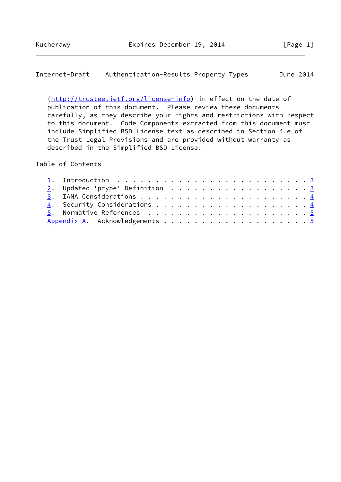Internet-Draft Authentication-Results Property Types June 2014

 [\(http://trustee.ietf.org/license-info](http://trustee.ietf.org/license-info)) in effect on the date of publication of this document. Please review these documents carefully, as they describe your rights and restrictions with respect to this document. Code Components extracted from this document must include Simplified BSD License text as described in Section 4.e of the Trust Legal Provisions and are provided without warranty as described in the Simplified BSD License.

Table of Contents

|  | 1. Introduction $\ldots \ldots \ldots \ldots \ldots \ldots \ldots \ldots \ldots \ldots$ |  |  |  |  |  |  |  |  |  |  |
|--|-----------------------------------------------------------------------------------------|--|--|--|--|--|--|--|--|--|--|
|  | $2.$ Updated 'ptype' Definition 3                                                       |  |  |  |  |  |  |  |  |  |  |
|  |                                                                                         |  |  |  |  |  |  |  |  |  |  |
|  |                                                                                         |  |  |  |  |  |  |  |  |  |  |
|  |                                                                                         |  |  |  |  |  |  |  |  |  |  |
|  | Appendix A. Acknowledgements 5                                                          |  |  |  |  |  |  |  |  |  |  |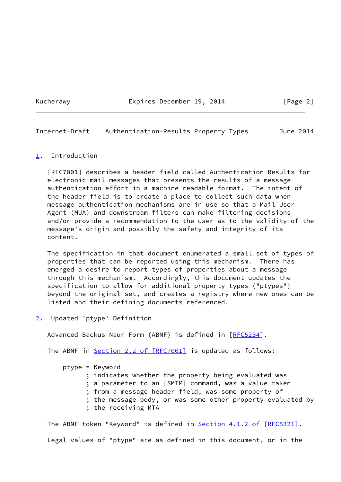Kucherawy **Expires December 19, 2014** [Page 2]

<span id="page-2-1"></span>Internet-Draft Authentication-Results Property Types June 2014

#### <span id="page-2-0"></span>[1](#page-2-0). Introduction

 [RFC7001] describes a header field called Authentication-Results for electronic mail messages that presents the results of a message authentication effort in a machine-readable format. The intent of the header field is to create a place to collect such data when message authentication mechanisms are in use so that a Mail User Agent (MUA) and downstream filters can make filtering decisions and/or provide a recommendation to the user as to the validity of the message's origin and possibly the safety and integrity of its content.

 The specification in that document enumerated a small set of types of properties that can be reported using this mechanism. There has emerged a desire to report types of properties about a message through this mechanism. Accordingly, this document updates the specification to allow for additional property types ("ptypes") beyond the original set, and creates a registry where new ones can be listed and their defining documents referenced.

<span id="page-2-2"></span>[2](#page-2-2). Updated 'ptype' Definition

Advanced Backus Naur Form (ABNF) is defined in [\[RFC5234](https://datatracker.ietf.org/doc/pdf/rfc5234)].

The ABNF in Section [2.2 of \[RFC7001\]](https://datatracker.ietf.org/doc/pdf/rfc7001#section-2.2) is updated as follows:

 ptype = Keyword ; indicates whether the property being evaluated was ; a parameter to an [SMTP] command, was a value taken ; from a message header field, was some property of ; the message body, or was some other property evaluated by ; the receiving MTA

The ABNF token "Keyword" is defined in **Section 4.1.2 of [RFC5321]**. Legal values of "ptype" are as defined in this document, or in the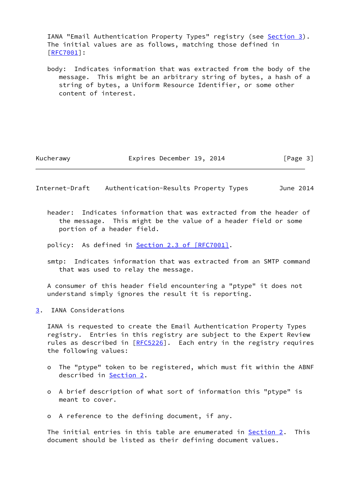IANA "Email Authentication Property Types" registry (see [Section 3](#page-3-0)). The initial values are as follows, matching those defined in [\[RFC7001](https://datatracker.ietf.org/doc/pdf/rfc7001)]:

 body: Indicates information that was extracted from the body of the message. This might be an arbitrary string of bytes, a hash of a string of bytes, a Uniform Resource Identifier, or some other content of interest.

Kucherawy **Expires December 19, 2014** [Page 3]

<span id="page-3-1"></span>Internet-Draft Authentication-Results Property Types June 2014

 header: Indicates information that was extracted from the header of the message. This might be the value of a header field or some portion of a header field.

policy: As defined in Section [2.3 of \[RFC7001\].](https://datatracker.ietf.org/doc/pdf/rfc7001#section-2.3)

 smtp: Indicates information that was extracted from an SMTP command that was used to relay the message.

 A consumer of this header field encountering a "ptype" it does not understand simply ignores the result it is reporting.

<span id="page-3-0"></span>[3](#page-3-0). IANA Considerations

 IANA is requested to create the Email Authentication Property Types registry. Entries in this registry are subject to the Expert Review rules as described in  $[REC5226]$ . Each entry in the registry requires the following values:

- o The "ptype" token to be registered, which must fit within the ABNF described in [Section 2](#page-2-2).
- o A brief description of what sort of information this "ptype" is meant to cover.
- o A reference to the defining document, if any.

 The initial entries in this table are enumerated in [Section 2.](#page-2-2) This document should be listed as their defining document values.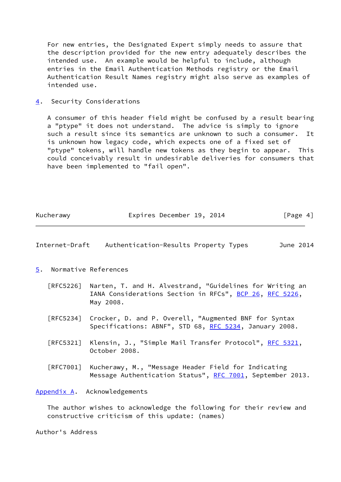For new entries, the Designated Expert simply needs to assure that the description provided for the new entry adequately describes the intended use. An example would be helpful to include, although entries in the Email Authentication Methods registry or the Email Authentication Result Names registry might also serve as examples of intended use.

<span id="page-4-0"></span>[4](#page-4-0). Security Considerations

 A consumer of this header field might be confused by a result bearing a "ptype" it does not understand. The advice is simply to ignore such a result since its semantics are unknown to such a consumer. It is unknown how legacy code, which expects one of a fixed set of "ptype" tokens, will handle new tokens as they begin to appear. This could conceivably result in undesirable deliveries for consumers that have been implemented to "fail open".

| Kucherawy | Expires December 19, 2014 | [Page 4] |
|-----------|---------------------------|----------|
|-----------|---------------------------|----------|

<span id="page-4-2"></span>

| Internet-Draft | Authentication-Results Property Types |  | June 2014 |
|----------------|---------------------------------------|--|-----------|
|----------------|---------------------------------------|--|-----------|

- <span id="page-4-1"></span>[5](#page-4-1). Normative References
	- [RFC5226] Narten, T. and H. Alvestrand, "Guidelines for Writing an IANA Considerations Section in RFCs", [BCP 26](https://datatracker.ietf.org/doc/pdf/bcp26), [RFC 5226](https://datatracker.ietf.org/doc/pdf/rfc5226), May 2008.
	- [RFC5234] Crocker, D. and P. Overell, "Augmented BNF for Syntax Specifications: ABNF", STD 68, [RFC 5234](https://datatracker.ietf.org/doc/pdf/rfc5234), January 2008.
	- [RFC5321] Klensin, J., "Simple Mail Transfer Protocol", [RFC 5321](https://datatracker.ietf.org/doc/pdf/rfc5321), October 2008.
	- [RFC7001] Kucherawy, M., "Message Header Field for Indicating Message Authentication Status", [RFC 7001,](https://datatracker.ietf.org/doc/pdf/rfc7001) September 2013.

<span id="page-4-3"></span>[Appendix A.](#page-4-3) Acknowledgements

 The author wishes to acknowledge the following for their review and constructive criticism of this update: (names)

Author's Address